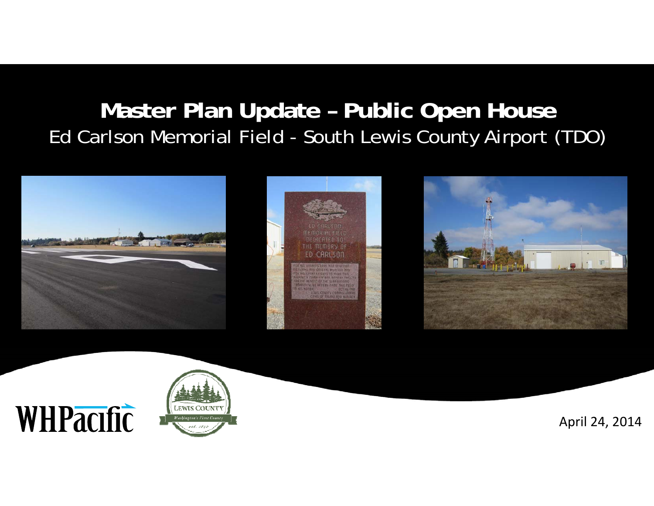### **Master Plan Update – Public Open House** Ed Carlson Memorial Field - South Lewis County Airport (TDO)





WHPacific

April 24, 2014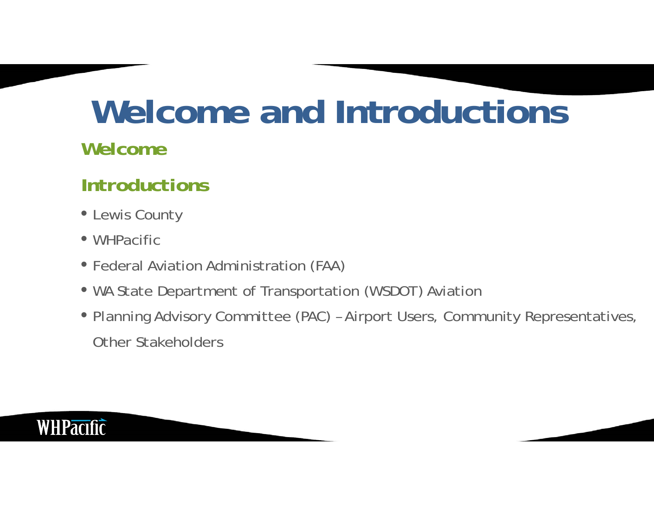## **Welcome and Introductions**

#### *Welcome*

#### *Introductions*

- Lewis County
- WHPacific
- Federal Aviation Administration (FAA)
- WA State Department of Transportation (WSDOT) Aviation
- Planning Advisory Committee (PAC) Airport Users, Community Representatives, Other Stakeholders

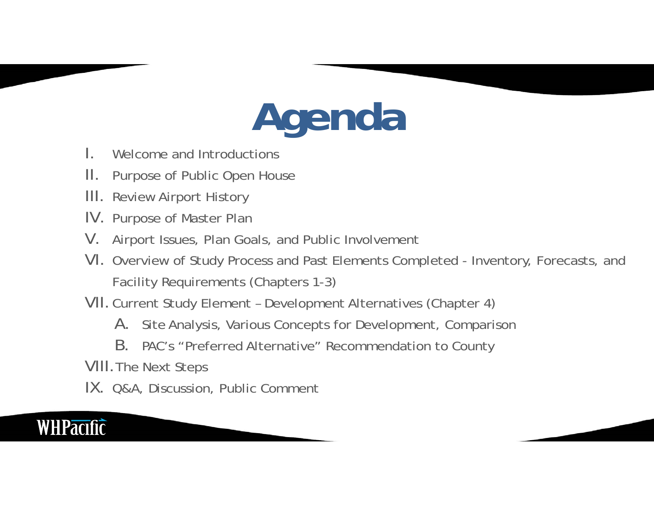# **Agenda**

- I.Welcome and Introductions
- II.Purpose of Public Open House
- III. Review Airport History
- IV. Purpose of Master Plan
- $V_{\cdot}$ Airport Issues, Plan Goals, and Public Involvement
- VI. Overview of Study Process and Past Elements Completed Inventory, Forecasts, and Facility Requirements (Chapters 1-3)
- VII.Current Study Element Development Alternatives (Chapter 4)
	- A. Site Analysis, Various Concepts for Development, Comparison
	- B. PAC's "Preferred Alternative" Recommendation to County

VIII.The Next Steps

IX. Q&A, Discussion, Public Comment

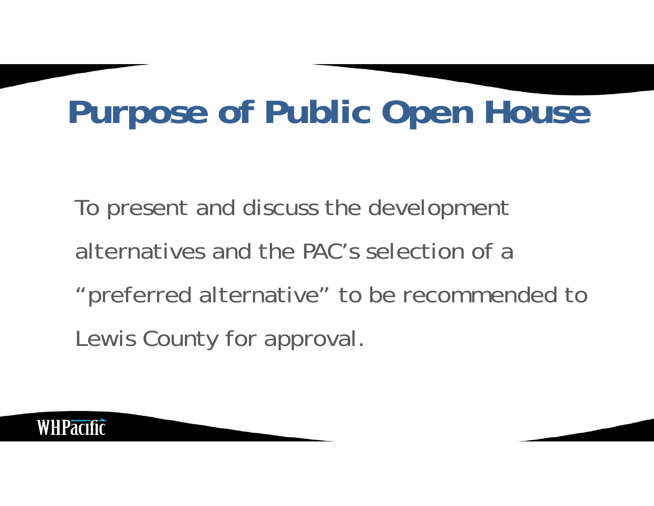## **Purpose of Public Open House**

To present and discuss the development alternatives and the PAC's selection of a "preferred alternative" to be recommended to Lewis County for approval.

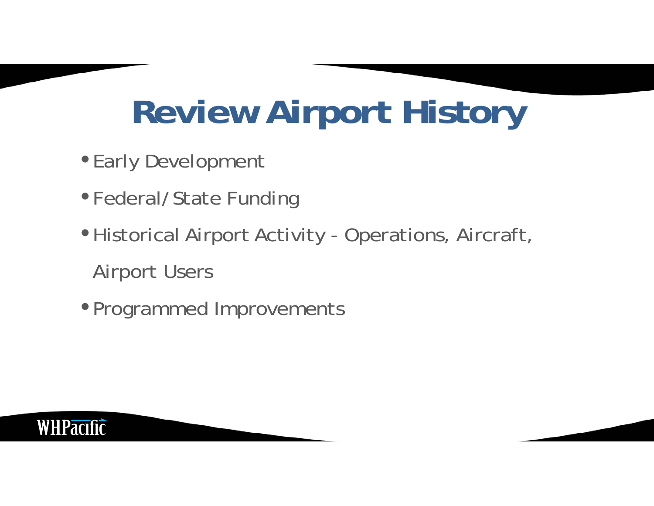## **Review Airport History**

- Early Development
- Federal/State Funding
- •Historical Airport Activity Operations, Aircraft, Airport Users
- •Programmed Improvements

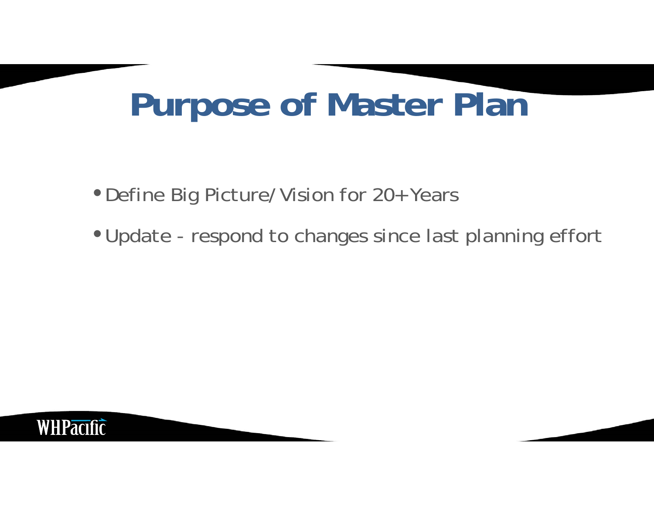## **Purpose of Master Plan**

- •Define Big Picture/Vision for 20+ Years
- •Update respond to changes since last planning effort

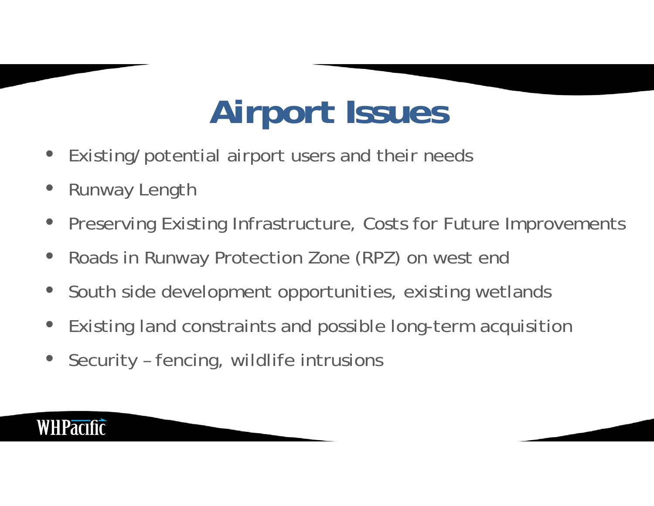## **Airport Issues**

- $\bullet$ Existing/potential airport users and their needs
- $\bullet$ Runway Length
- $\bullet$ Preserving Existing Infrastructure, Costs for Future Improvements
- $\bullet$ Roads in Runway Protection Zone (RPZ) on west end
- $\bullet$ South side development opportunities, existing wetlands
- $\bullet$ Existing land constraints and possible long-term acquisition
- $\bullet$ Security – fencing, wildlife intrusions

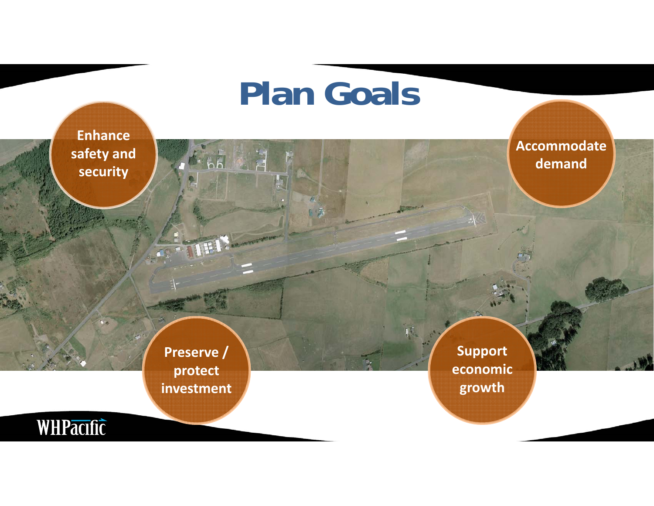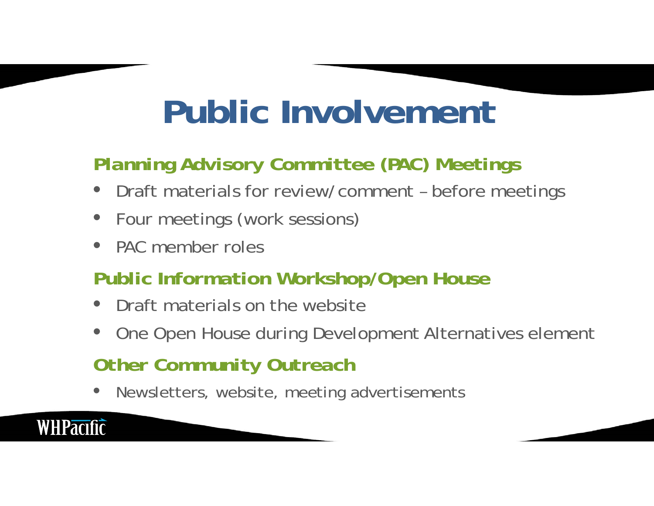## **Public Involvement**

### *Planning Advisory Committee (PAC) Meetings*

- $\bullet$ Draft materials for review/comment – before meetings
- •Four meetings (work sessions)
- •PAC member roles

**WHPacific** 

### *Public Information Workshop/Open House*

- •Draft materials on the website
- $\bullet$ One Open House during Development Alternatives element

### *Other Community Outreach*

•Newsletters, website, meeting advertisements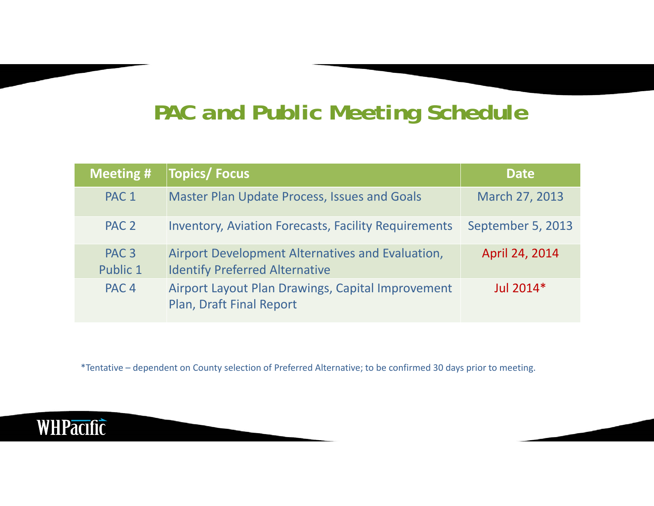### *PAC and Public Meeting Schedule*

| <b>Meeting #</b>             | <b>Topics/Focus</b>                                                                       | <b>Date</b>       |
|------------------------------|-------------------------------------------------------------------------------------------|-------------------|
| PAC <sub>1</sub>             | <b>Master Plan Update Process, Issues and Goals</b>                                       | March 27, 2013    |
| PAC <sub>2</sub>             | <b>Inventory, Aviation Forecasts, Facility Requirements</b>                               | September 5, 2013 |
| PAC <sub>3</sub><br>Public 1 | Airport Development Alternatives and Evaluation,<br><b>Identify Preferred Alternative</b> | April 24, 2014    |
| PAC <sub>4</sub>             | Airport Layout Plan Drawings, Capital Improvement<br>Plan, Draft Final Report             | Jul $2014*$       |

\*Tentative – dependent on County selection of Preferred Alternative; to be confirmed 30 days prior to meeting.

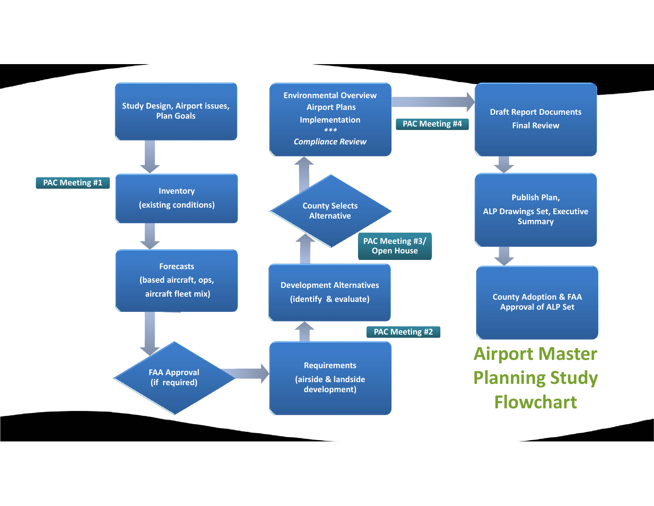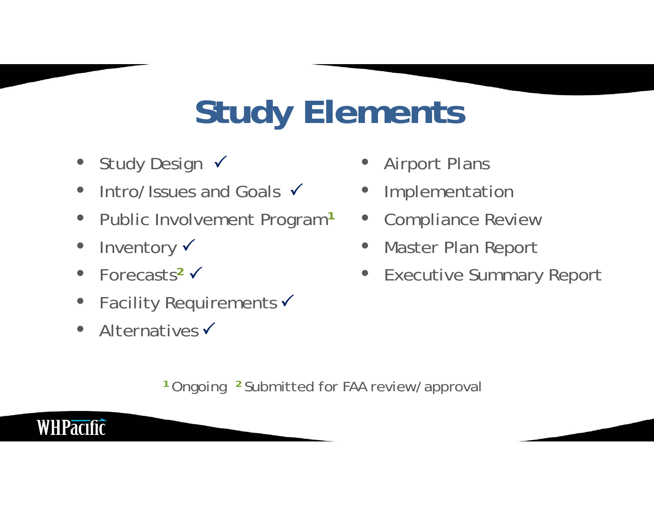## **Study Elements**

- $\bullet$ • Study Design v
- $\bullet$ • Intro/Issues and Goals  $\checkmark$
- $\bullet$ Public Involvement Program**<sup>1</sup>**
- $\bullet$ • Inventory v
- •● Forecasts<sup>2</sup>
- •• Facility Requirements  $\checkmark$
- $\bullet$ • Alternatives  $\checkmark$

**WHPacific** 

- $\bullet$ Airport Plans
- $\bullet$ Implementation
- $\bullet$ Compliance Review
- $\bullet$ Master Plan Report
- $\bullet$ Executive Summary Report

**1** Ongoing **2** Submitted for FAA review/approval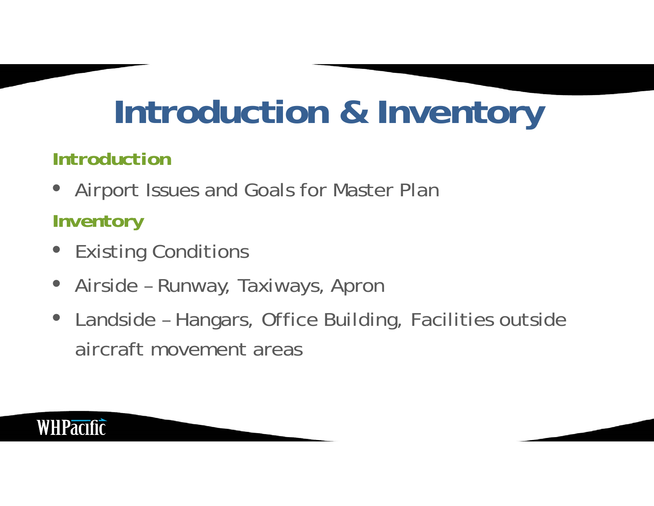## **Introduction & Inventory**

#### *Introduction*

 $\bullet$ Airport Issues and Goals for Master Plan

### *Inventory*

- Existing Conditions
- $\bullet$ Airside – Runway, Taxiways, Apron
- Landside Hangars, Office Building, Facilities outside aircraft movement areas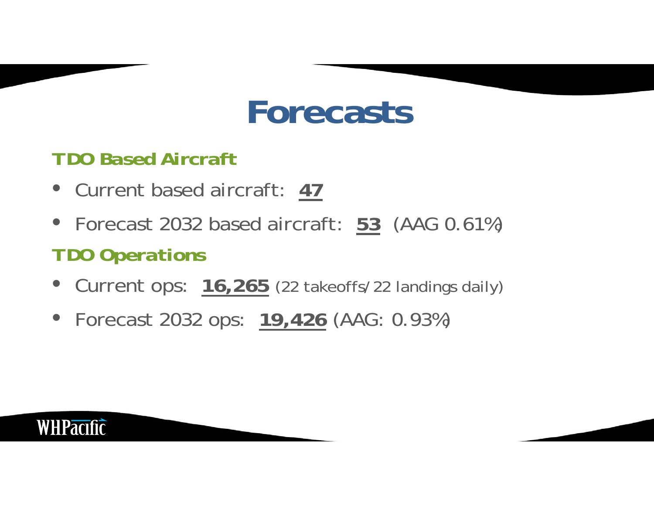### **Forecasts**

#### *TDO Based Aircraft*

- Current based aircraft: **47**
- Forecast 2032 based aircraft: **53** (AAG 0.61%) *TDO Operations*
- Current ops: **16,265** (22 takeoffs/22 landings daily)
- Forecast 2032 ops: **19,426** (AAG: 0.93%)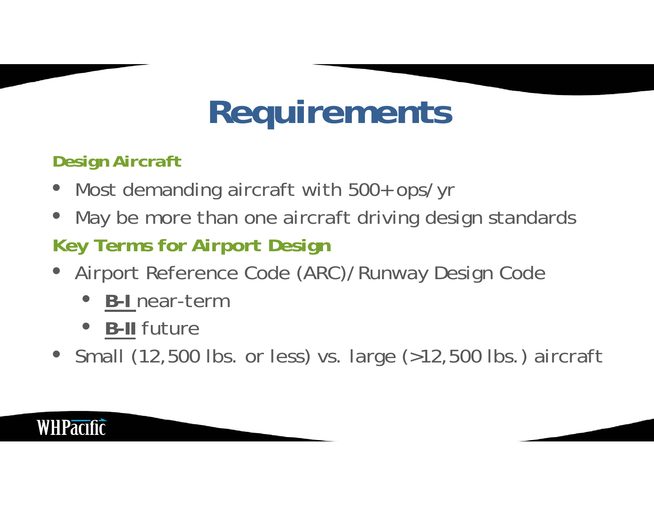## **Requirements**

#### *Design Aircraft*

- $\bullet$ Most demanding aircraft with 500+ ops/yr
- $\bullet$ May be more than one aircraft driving design standards

### *Key Terms for Airport Design*

- $\bullet$  Airport Reference Code (ARC)/Runway Design Code
	- $\bullet$ **B-I** near-term
	- **B-II** future
- Small (12,500 lbs. or less) vs. large (>12,500 lbs.) aircraft

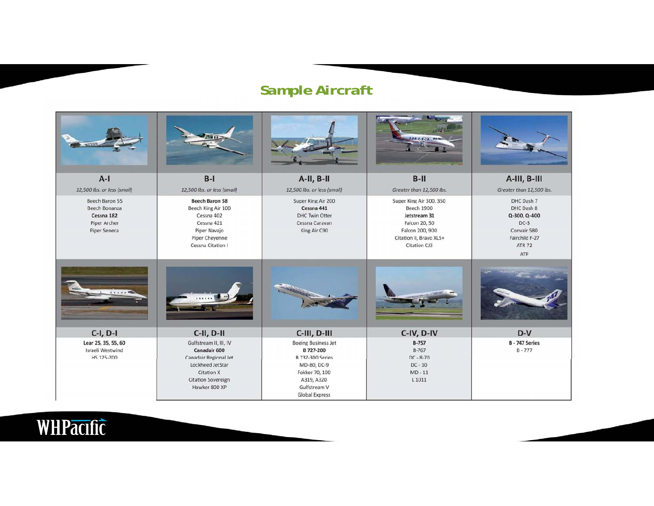#### *Sample Aircraft*

| worsen                                                                        |                                                                                                                                                        |                                                                                                                                                            | 27701                                                                                                                                       |                                                                                                             |
|-------------------------------------------------------------------------------|--------------------------------------------------------------------------------------------------------------------------------------------------------|------------------------------------------------------------------------------------------------------------------------------------------------------------|---------------------------------------------------------------------------------------------------------------------------------------------|-------------------------------------------------------------------------------------------------------------|
| $A-I$                                                                         | $B-I$                                                                                                                                                  | $A-H$ , $B-H$                                                                                                                                              | $B-II$                                                                                                                                      | A-III, B-III                                                                                                |
| 12,500 lbs. or less (small)                                                   | 12,500 lbs. or less (small)                                                                                                                            | 12,500 lbs. or less (small)                                                                                                                                | Greater than 12,500 lbs.                                                                                                                    | Greater than 12,500 lbs.                                                                                    |
| Beech Baron 55<br>Beech Bonanza<br>Cessna 182<br>Piper Archer<br>Piper Seneca | <b>Beech Baron 58</b><br>Beech King Air 100<br>Cessna 402<br>Cessna 421<br>Piper Navajo<br>Piper Cheyenne<br>Cessna Citation I                         | Super King Air 200<br>Cessna 441<br>DHC Twin Otter<br>Cessna Caravan<br>King Air C90                                                                       | Super King Air 300, 350<br><b>Beech 1900</b><br>Jetstream 31<br>Falcon 20, 50<br>Falcon 200, 900<br>Citation II, Bravo XLS+<br>Citation CJ3 | DHC Dash 7<br>DHC Dash 8<br>Q-300, Q-400<br>$DC-3$<br>Convair 580<br>Fairchild F-27<br><b>ATR 72</b><br>ATP |
|                                                                               |                                                                                                                                                        |                                                                                                                                                            |                                                                                                                                             |                                                                                                             |
| $C-I, D-I$                                                                    | $C-H$ , $D-H$                                                                                                                                          | C-III, D-III                                                                                                                                               | C-IV, D-IV                                                                                                                                  | $D-V$                                                                                                       |
| Lear 25, 35, 55, 60<br>Israeli Westwind<br>HS 125-700                         | Gulfstream II, III, IV<br>Canadair 600<br>Canadair Regional Jet<br>Lockheed JetStar<br><b>Citation X</b><br><b>Citation Sovereign</b><br>Hawker 800 XP | <b>Boeing Business Jet</b><br>B 727-200<br><b>B 737-300 Series</b><br>MD-80, DC-9<br>Fokker 70, 100<br>A319, A320<br>Gulfstream V<br><b>Global Express</b> | $B-757$<br><b>B-767</b><br>$DC - 8 - 70$<br>$DC - 10$<br>$MD - 11$<br>L <sub>1011</sub>                                                     | <b>B-747 Series</b><br>$B - 777$                                                                            |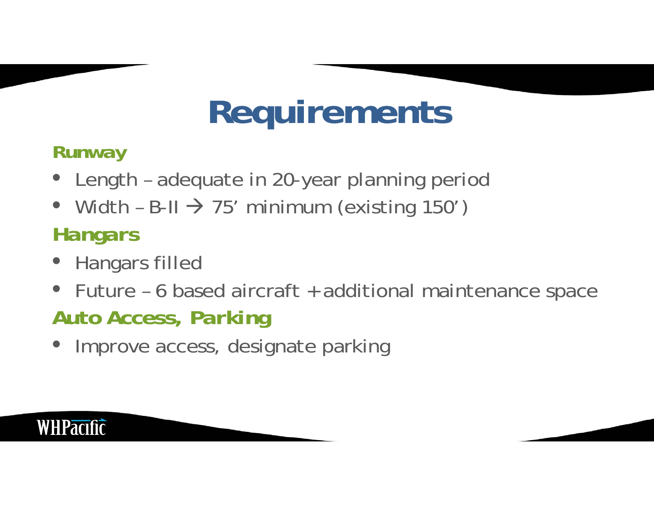## **Requirements**

### *Runway*

- $\bullet$ Length – adequate in 20-year planning period
- $\bullet$ • Width - B-II  $\rightarrow$  75' minimum (existing 150')

### *Hangars*

- $\bullet$ Hangars filled
- $\bullet$  Future – 6 based aircraft + additional maintenance space *Auto Access, Parking*
- Improve access, designate parking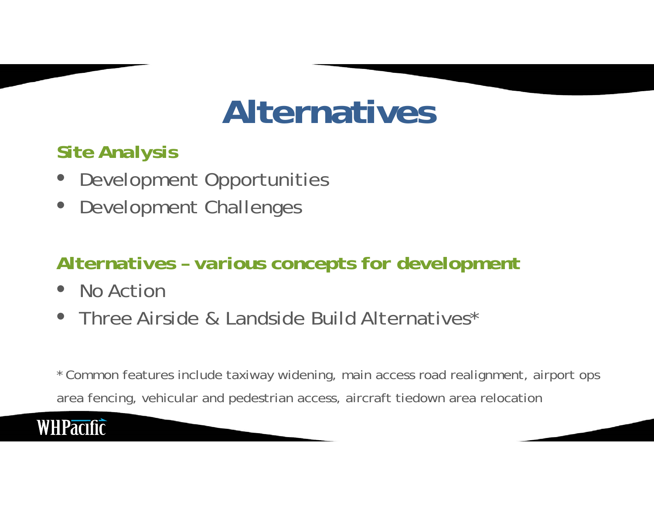### **Alternatives**

### *Site Analysis*

- $\bullet$ Development Opportunities
- Development Challenges

### *Alternatives – various concepts for development*

- $\bullet$ No Action
- $\bullet$ Three Airside & Landside Build Alternatives\*

\* Common features include taxiway widening, main access road realignment, airport ops area fencing, vehicular and pedestrian access, aircraft tiedown area relocation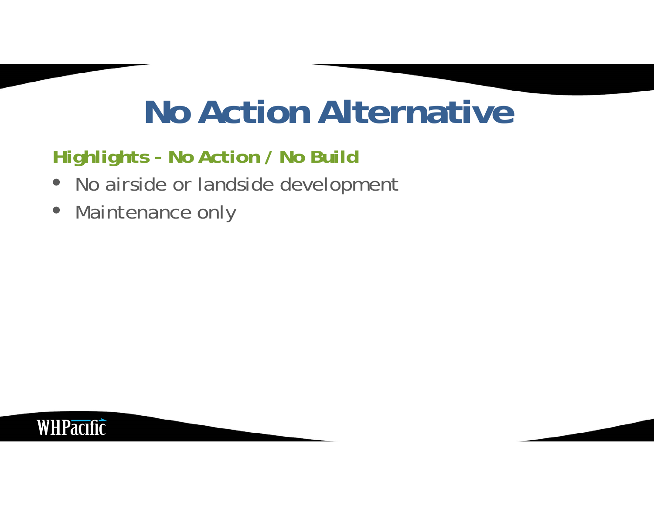### **No Action Alternative**

### *Highlights - No Action / No Build*

- No airside or landside development
- $\bullet$ Maintenance only

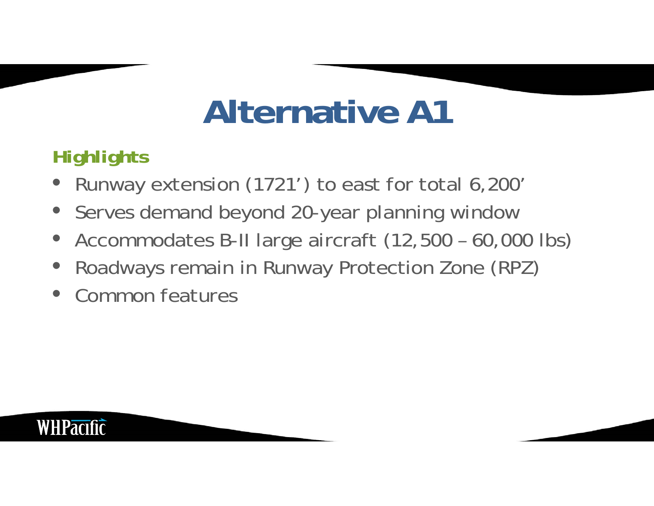## **Alternative A1**

### *Highlights*

- $\bullet$ Runway extension (1721') to east for total 6,200'
- $\bullet$ Serves demand beyond 20-year planning window
- $\bullet$ Accommodates B-II large aircraft (12,500 – 60,000 lbs)
- $\bullet$ Roadways remain in Runway Protection Zone (RPZ)
- $\bullet$ Common features

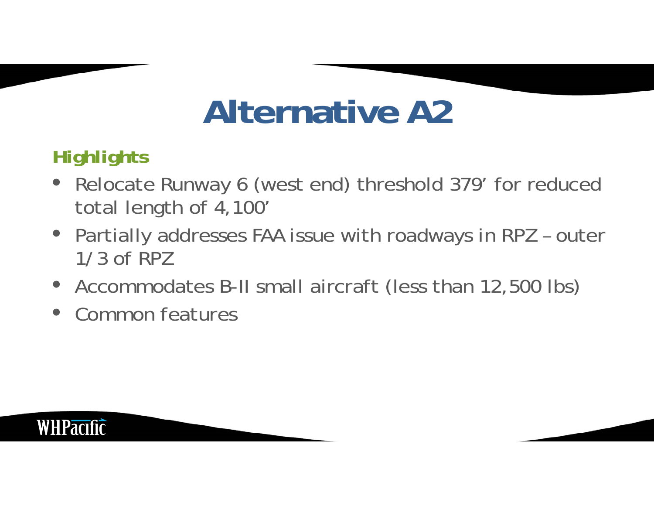## **Alternative A2**

### *Highlights*

- Relocate Runway 6 (west end) threshold 379' for reduced total length of 4,100'
- Partially addresses FAA issue with roadways in RPZ outer 1/3 of RPZ
- Accommodates B-II small aircraft (less than 12,500 lbs)
- $\bullet$ Common features

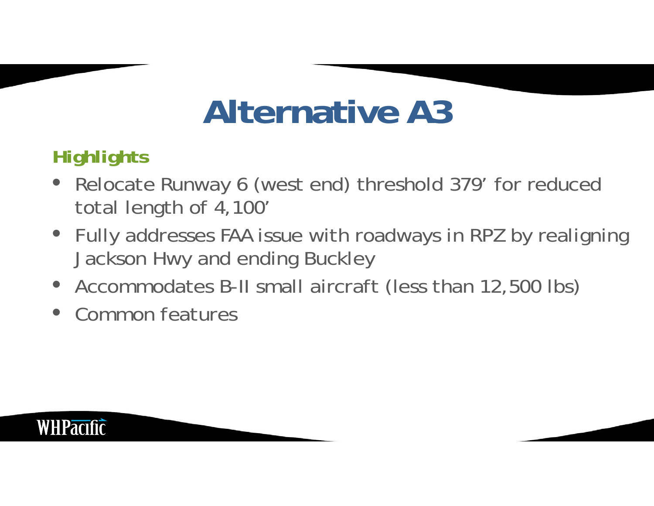## **Alternative A3**

### *Highlights*

- Relocate Runway 6 (west end) threshold 379' for reduced total length of 4,100'
- Fully addresses FAA issue with roadways in RPZ by realigning Jackson Hwy and ending Buckley
- Accommodates B-II small aircraft (less than 12,500 lbs)
- $\bullet$ Common features

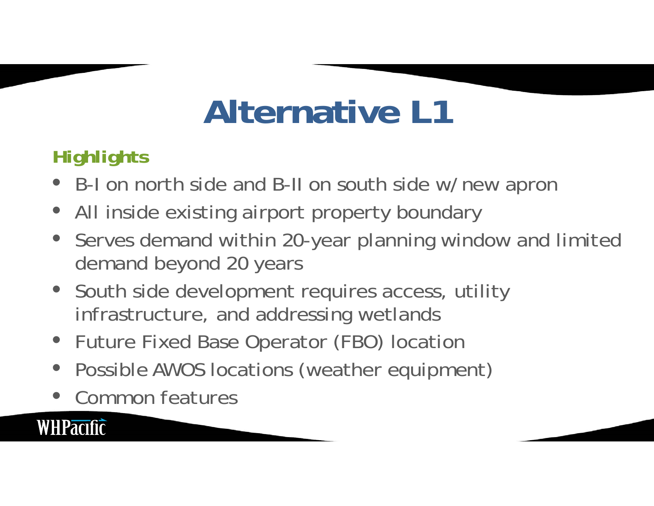## **Alternative L1**

### *Highlights*

- B-I on north side and B-II on south side w/new apron
- All inside existing airport property boundary
- $\bullet$  Serves demand within 20-year planning window and limited demand beyond 20 years
- South side development requires access, utility infrastructure, and addressing wetlands
- Future Fixed Base Operator (FBO) location
- $\bullet$ Possible AWOS locations (weather equipment)
- $\bullet$ Common features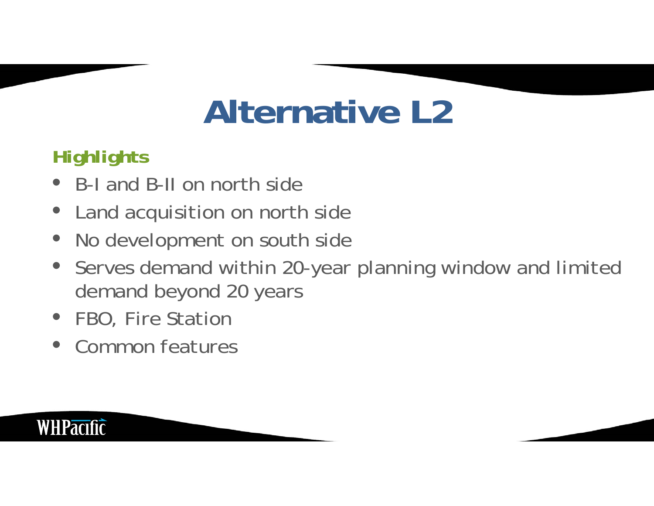## **Alternative L2**

### *Highlights*

- B-I and B-II on north side
- $\bullet$ Land acquisition on north side
- $\bullet$ No development on south side
- $\bullet$  Serves demand within 20-year planning window and limited demand beyond 20 years
- FBO, Fire Station
- $\bullet$ Common features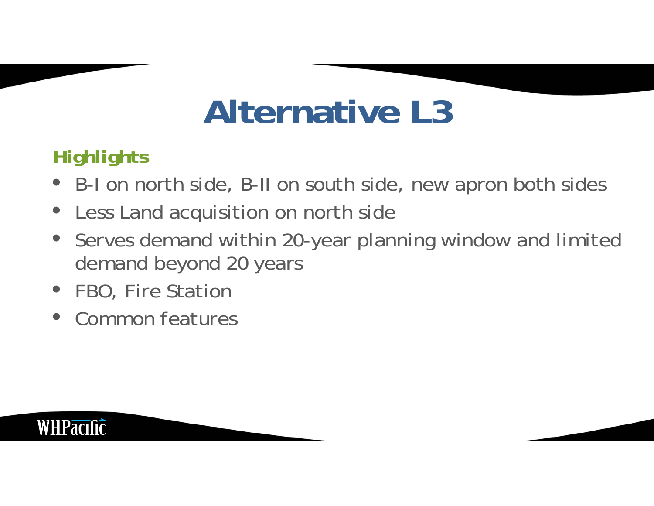## **Alternative L3**

### *Highlights*

- B-I on north side, B-II on south side, new apron both sides
- $\bullet$ Less Land acquisition on north side
- $\bullet$  Serves demand within 20-year planning window and limited demand beyond 20 years
- FBO, Fire Station
- $\bullet$ Common features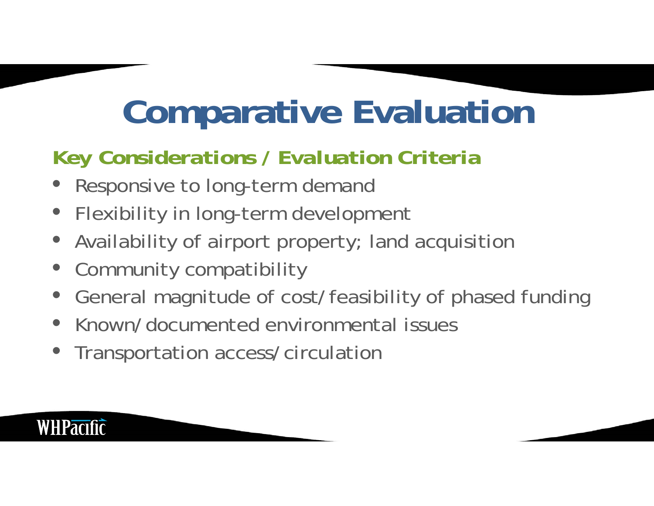## **Comparative Evaluation**

### *Key Considerations / Evaluation Criteria*

- Responsive to long-term demand
- $\bullet$ Flexibility in long-term development
- $\bullet$ Availability of airport property; land acquisition
- $\bullet$ Community compatibility

- $\bullet$ General magnitude of cost/feasibility of phased funding
- $\bullet$ Known/documented environmental issues
- $\bullet$ Transportation access/circulation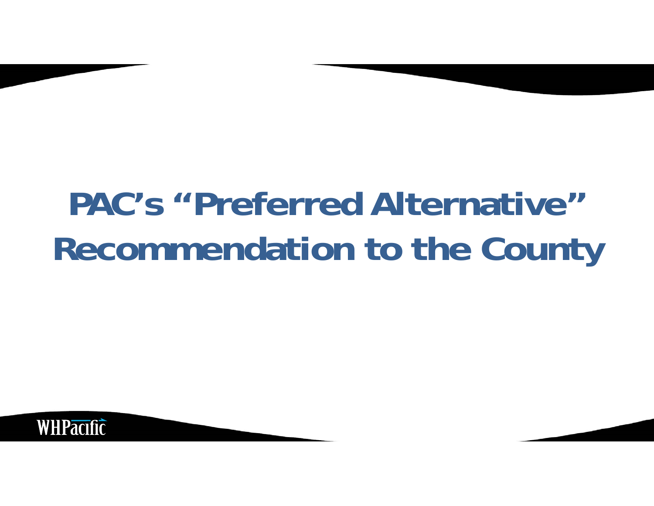## **PAC's "Preferred Alternative" Recommendation to the County**

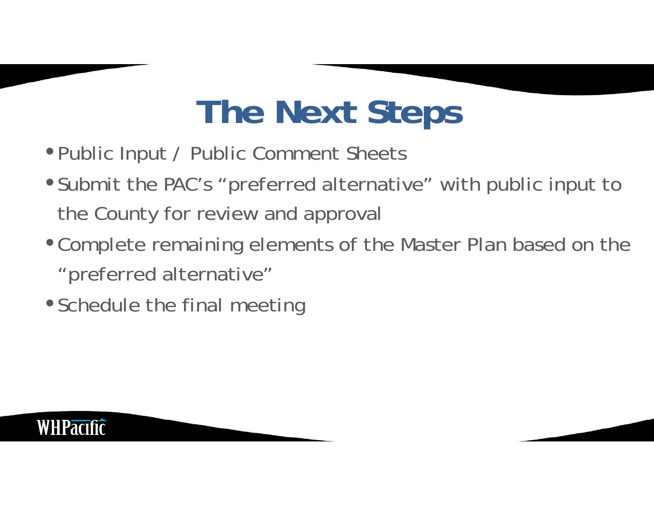## **The Next Steps**

- •Public Input / Public Comment Sheets
- Submit the PAC's "preferred alternative" with public input to the County for review and approval
- •Complete remaining elements of the Master Plan based on the "preferred alternative"
- Schedule the final meeting